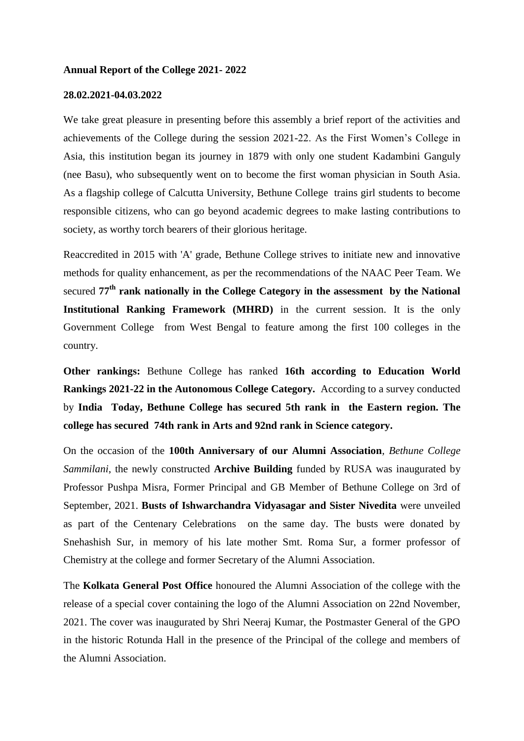#### **Annual Report of the College 2021- 2022**

## **28.02.2021-04.03.2022**

We take great pleasure in presenting before this assembly a brief report of the activities and achievements of the College during the session 2021-22. As the First Women's College in Asia, this institution began its journey in 1879 with only one student Kadambini Ganguly (nee Basu), who subsequently went on to become the first woman physician in South Asia. As a flagship college of Calcutta University, Bethune College trains girl students to become responsible citizens, who can go beyond academic degrees to make lasting contributions to society, as worthy torch bearers of their glorious heritage.

Reaccredited in 2015 with 'A' grade, Bethune College strives to initiate new and innovative methods for quality enhancement, as per the recommendations of the NAAC Peer Team. We secured **77th rank nationally in the College Category in the assessment by the National Institutional Ranking Framework (MHRD)** in the current session. It is the only Government College from West Bengal to feature among the first 100 colleges in the country.

**Other rankings:** Bethune College has ranked **16th according to Education World Rankings 2021-22 in the Autonomous College Category.** According to a survey conducted by **India Today, Bethune College has secured 5th rank in the Eastern region. The college has secured 74th rank in Arts and 92nd rank in Science category.** 

On the occasion of the **100th Anniversary of our Alumni Association**, *Bethune College Sammilani*, the newly constructed **Archive Building** funded by RUSA was inaugurated by Professor Pushpa Misra, Former Principal and GB Member of Bethune College on 3rd of September, 2021. **Busts of Ishwarchandra Vidyasagar and Sister Nivedita** were unveiled as part of the Centenary Celebrations on the same day. The busts were donated by Snehashish Sur, in memory of his late mother Smt. Roma Sur, a former professor of Chemistry at the college and former Secretary of the Alumni Association.

The **Kolkata General Post Office** honoured the Alumni Association of the college with the release of a special cover containing the logo of the Alumni Association on 22nd November, 2021. The cover was inaugurated by Shri Neeraj Kumar, the Postmaster General of the GPO in the historic Rotunda Hall in the presence of the Principal of the college and members of the Alumni Association.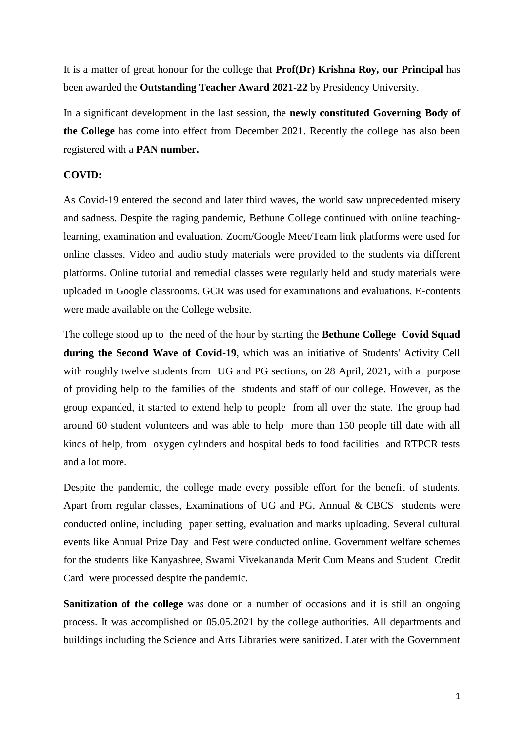It is a matter of great honour for the college that **Prof(Dr) Krishna Roy, our Principal** has been awarded the **Outstanding Teacher Award 2021-22** by Presidency University.

In a significant development in the last session, the **newly constituted Governing Body of the College** has come into effect from December 2021. Recently the college has also been registered with a **PAN number.**

## **COVID:**

As Covid-19 entered the second and later third waves, the world saw unprecedented misery and sadness. Despite the raging pandemic, Bethune College continued with online teachinglearning, examination and evaluation. Zoom/Google Meet/Team link platforms were used for online classes. Video and audio study materials were provided to the students via different platforms. Online tutorial and remedial classes were regularly held and study materials were uploaded in Google classrooms. GCR was used for examinations and evaluations. E-contents were made available on the College website.

The college stood up to the need of the hour by starting the **Bethune College Covid Squad during the Second Wave of Covid-19**, which was an initiative of Students' Activity Cell with roughly twelve students from UG and PG sections, on 28 April, 2021, with a purpose of providing help to the families of the students and staff of our college. However, as the group expanded, it started to extend help to people from all over the state. The group had around 60 student volunteers and was able to help more than 150 people till date with all kinds of help, from oxygen cylinders and hospital beds to food facilities and RTPCR tests and a lot more.

Despite the pandemic, the college made every possible effort for the benefit of students. Apart from regular classes, Examinations of UG and PG, Annual & CBCS students were conducted online, including paper setting, evaluation and marks uploading. Several cultural events like Annual Prize Day and Fest were conducted online. Government welfare schemes for the students like Kanyashree, Swami Vivekananda Merit Cum Means and Student Credit Card were processed despite the pandemic.

**Sanitization of the college** was done on a number of occasions and it is still an ongoing process. It was accomplished on 05.05.2021 by the college authorities. All departments and buildings including the Science and Arts Libraries were sanitized. Later with the Government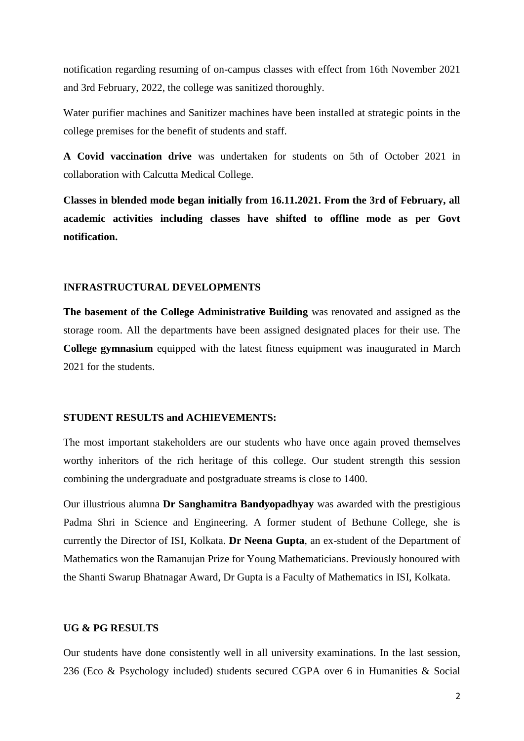notification regarding resuming of on-campus classes with effect from 16th November 2021 and 3rd February, 2022, the college was sanitized thoroughly.

Water purifier machines and Sanitizer machines have been installed at strategic points in the college premises for the benefit of students and staff.

**A Covid vaccination drive** was undertaken for students on 5th of October 2021 in collaboration with Calcutta Medical College.

**Classes in blended mode began initially from 16.11.2021. From the 3rd of February, all academic activities including classes have shifted to offline mode as per Govt notification.** 

#### **INFRASTRUCTURAL DEVELOPMENTS**

**The basement of the College Administrative Building** was renovated and assigned as the storage room. All the departments have been assigned designated places for their use. The **College gymnasium** equipped with the latest fitness equipment was inaugurated in March 2021 for the students.

#### **STUDENT RESULTS and ACHIEVEMENTS:**

The most important stakeholders are our students who have once again proved themselves worthy inheritors of the rich heritage of this college. Our student strength this session combining the undergraduate and postgraduate streams is close to 1400.

Our illustrious alumna **Dr Sanghamitra Bandyopadhyay** was awarded with the prestigious Padma Shri in Science and Engineering. A former student of Bethune College, she is currently the Director of ISI, Kolkata. **Dr Neena Gupta**, an ex-student of the Department of Mathematics won the Ramanujan Prize for Young Mathematicians. Previously honoured with the Shanti Swarup Bhatnagar Award, Dr Gupta is a Faculty of Mathematics in ISI, Kolkata.

## **UG & PG RESULTS**

Our students have done consistently well in all university examinations. In the last session, 236 (Eco & Psychology included) students secured CGPA over 6 in Humanities & Social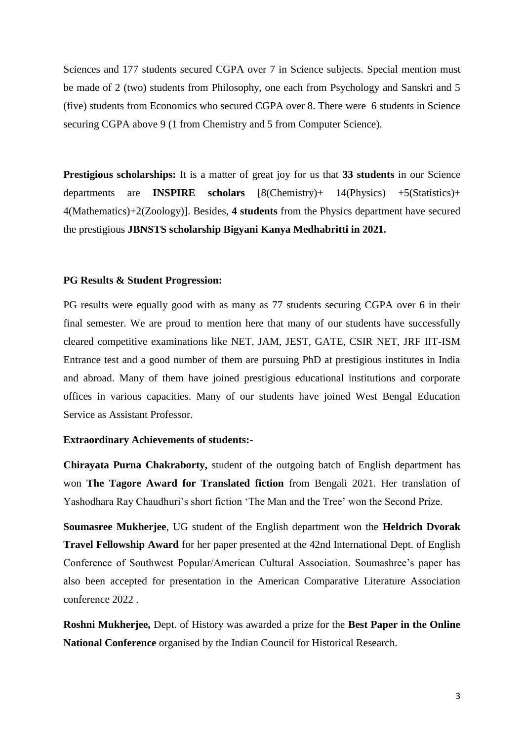Sciences and 177 students secured CGPA over 7 in Science subjects. Special mention must be made of 2 (two) students from Philosophy, one each from Psychology and Sanskri and 5 (five) students from Economics who secured CGPA over 8. There were 6 students in Science securing CGPA above 9 (1 from Chemistry and 5 from Computer Science).

**Prestigious scholarships:** It is a matter of great joy for us that **33 students** in our Science departments are **INSPIRE scholars** [8(Chemistry)+ 14(Physics) +5(Statistics)+ 4(Mathematics)+2(Zoology)]. Besides, **4 students** from the Physics department have secured the prestigious **JBNSTS scholarship Bigyani Kanya Medhabritti in 2021.** 

## **PG Results & Student Progression:**

PG results were equally good with as many as 77 students securing CGPA over 6 in their final semester. We are proud to mention here that many of our students have successfully cleared competitive examinations like NET, JAM, JEST, GATE, CSIR NET, JRF IIT-ISM Entrance test and a good number of them are pursuing PhD at prestigious institutes in India and abroad. Many of them have joined prestigious educational institutions and corporate offices in various capacities. Many of our students have joined West Bengal Education Service as Assistant Professor.

## **Extraordinary Achievements of students:-**

**Chirayata Purna Chakraborty,** student of the outgoing batch of English department has won **The Tagore Award for Translated fiction** from Bengali 2021. Her translation of Yashodhara Ray Chaudhuri's short fiction 'The Man and the Tree' won the Second Prize.

**Soumasree Mukherjee**, UG student of the English department won the **Heldrich Dvorak Travel Fellowship Award** for her paper presented at the 42nd International Dept. of English Conference of Southwest Popular/American Cultural Association. Soumashree's paper has also been accepted for presentation in the American Comparative Literature Association conference 2022 .

**Roshni Mukherjee,** Dept. of History was awarded a prize for the **Best Paper in the Online National Conference** organised by the Indian Council for Historical Research.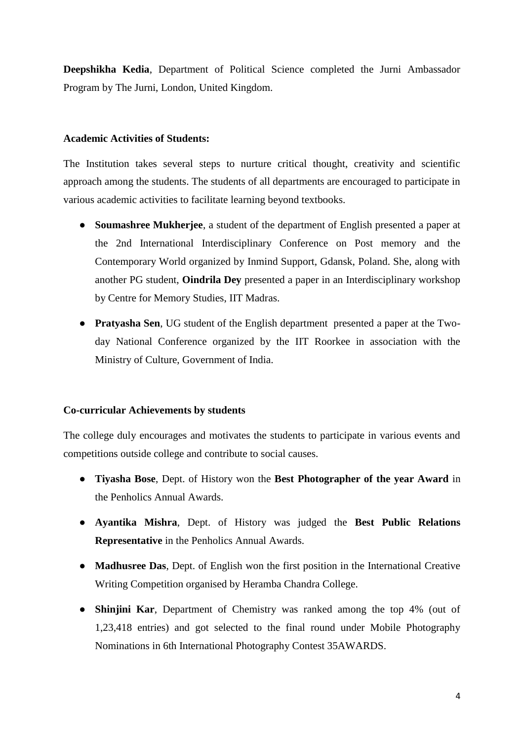**Deepshikha Kedia**, Department of Political Science completed the Jurni Ambassador Program by The Jurni, London, United Kingdom.

# **Academic Activities of Students:**

The Institution takes several steps to nurture critical thought, creativity and scientific approach among the students. The students of all departments are encouraged to participate in various academic activities to facilitate learning beyond textbooks.

- **Soumashree Mukherjee**, a student of the department of English presented a paper at the 2nd International Interdisciplinary Conference on Post memory and the Contemporary World organized by Inmind Support, Gdansk, Poland. She, along with another PG student, **Oindrila Dey** presented a paper in an Interdisciplinary workshop by Centre for Memory Studies, IIT Madras.
- **Pratyasha Sen**, UG student of the English department presented a paper at the Twoday National Conference organized by the IIT Roorkee in association with the Ministry of Culture, Government of India.

# **Co-curricular Achievements by students**

The college duly encourages and motivates the students to participate in various events and competitions outside college and contribute to social causes.

- **Tiyasha Bose**, Dept. of History won the **Best Photographer of the year Award** in the Penholics Annual Awards.
- **Ayantika Mishra**, Dept. of History was judged the **Best Public Relations Representative** in the Penholics Annual Awards.
- **Madhusree Das**, Dept. of English won the first position in the International Creative Writing Competition organised by Heramba Chandra College.
- **Shinjini Kar**, Department of Chemistry was ranked among the top 4% (out of 1,23,418 entries) and got selected to the final round under Mobile Photography Nominations in 6th International Photography Contest 35AWARDS.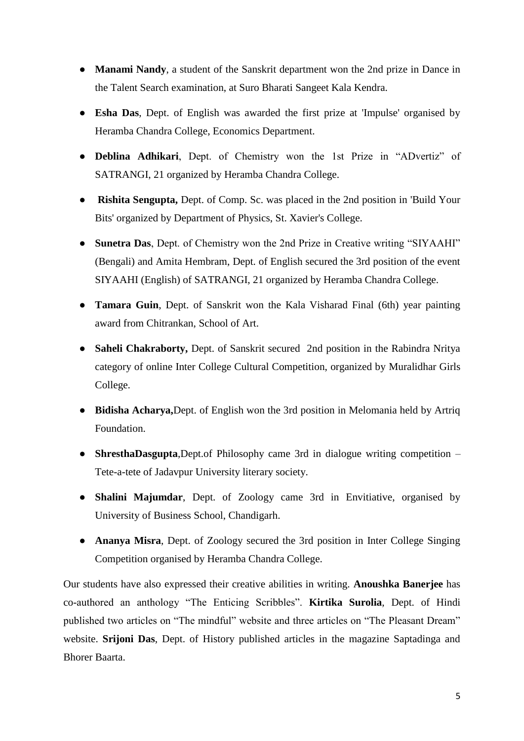- **Manami Nandy**, a student of the Sanskrit department won the 2nd prize in Dance in the Talent Search examination, at Suro Bharati Sangeet Kala Kendra.
- **Esha Das**, Dept. of English was awarded the first prize at 'Impulse' organised by Heramba Chandra College, Economics Department.
- **Deblina Adhikari**, Dept. of Chemistry won the 1st Prize in "ADvertiz" of SATRANGI, 21 organized by Heramba Chandra College.
- **Rishita Sengupta,** Dept. of Comp. Sc. was placed in the 2nd position in 'Build Your Bits' organized by Department of Physics, St. Xavier's College.
- **Sunetra Das**, Dept. of Chemistry won the 2nd Prize in Creative writing "SIYAAHI" (Bengali) and Amita Hembram, Dept. of English secured the 3rd position of the event SIYAAHI (English) of SATRANGI, 21 organized by Heramba Chandra College.
- **Tamara Guin**, Dept. of Sanskrit won the Kala Visharad Final (6th) year painting award from Chitrankan, School of Art.
- **Saheli Chakraborty,** Dept. of Sanskrit secured 2nd position in the Rabindra Nritya category of online Inter College Cultural Competition, organized by Muralidhar Girls College.
- **Bidisha Acharya,**Dept. of English won the 3rd position in Melomania held by Artriq Foundation.
- **ShresthaDasgupta**,Dept.of Philosophy came 3rd in dialogue writing competition Tete-a-tete of Jadavpur University literary society.
- **Shalini Majumdar**, Dept. of Zoology came 3rd in Envitiative, organised by University of Business School, Chandigarh.
- **Ananya Misra**, Dept. of Zoology secured the 3rd position in Inter College Singing Competition organised by Heramba Chandra College.

Our students have also expressed their creative abilities in writing. **Anoushka Banerjee** has co-authored an anthology "The Enticing Scribbles". **Kirtika Surolia**, Dept. of Hindi published two articles on "The mindful" website and three articles on "The Pleasant Dream" website. **Srijoni Das**, Dept. of History published articles in the magazine Saptadinga and Bhorer Baarta.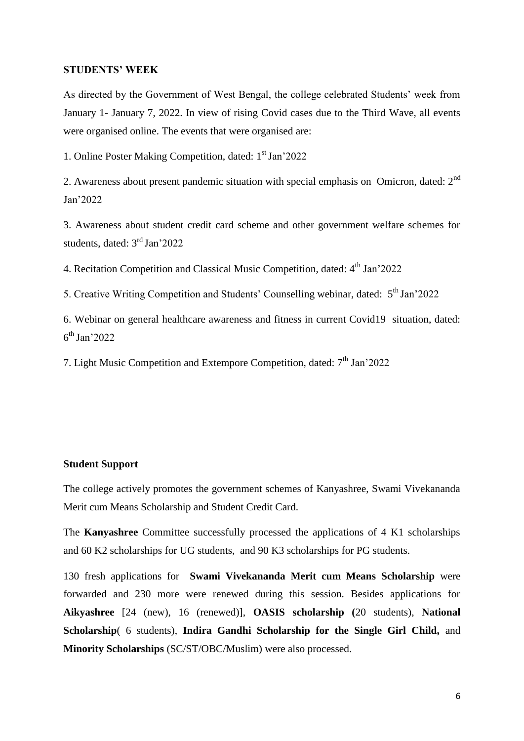#### **STUDENTS' WEEK**

As directed by the Government of West Bengal, the college celebrated Students' week from January 1- January 7, 2022. In view of rising Covid cases due to the Third Wave, all events were organised online. The events that were organised are:

1. Online Poster Making Competition, dated: 1<sup>st</sup> Jan'2022

2. Awareness about present pandemic situation with special emphasis on Omicron, dated: 2nd Jan'2022

3. Awareness about student credit card scheme and other government welfare schemes for students, dated: 3rd Jan'2022

4. Recitation Competition and Classical Music Competition, dated:  $4<sup>th</sup>$  Jan'2022

5. Creative Writing Competition and Students' Counselling webinar, dated: 5<sup>th</sup> Jan'2022

6. Webinar on general healthcare awareness and fitness in current Covid19 situation, dated: 6 th Jan'2022

7. Light Music Competition and Extempore Competition, dated:  $7<sup>th</sup>$  Jan'2022

#### **Student Support**

The college actively promotes the government schemes of Kanyashree, Swami Vivekananda Merit cum Means Scholarship and Student Credit Card.

The **Kanyashree** Committee successfully processed the applications of 4 K1 scholarships and 60 K2 scholarships for UG students, and 90 K3 scholarships for PG students.

130 fresh applications for **Swami Vivekananda Merit cum Means Scholarship** were forwarded and 230 more were renewed during this session. Besides applications for **Aikyashree** [24 (new), 16 (renewed)], **OASIS scholarship (**20 students), **National Scholarship**( 6 students), **Indira Gandhi Scholarship for the Single Girl Child,** and **Minority Scholarships** (SC/ST/OBC/Muslim) were also processed.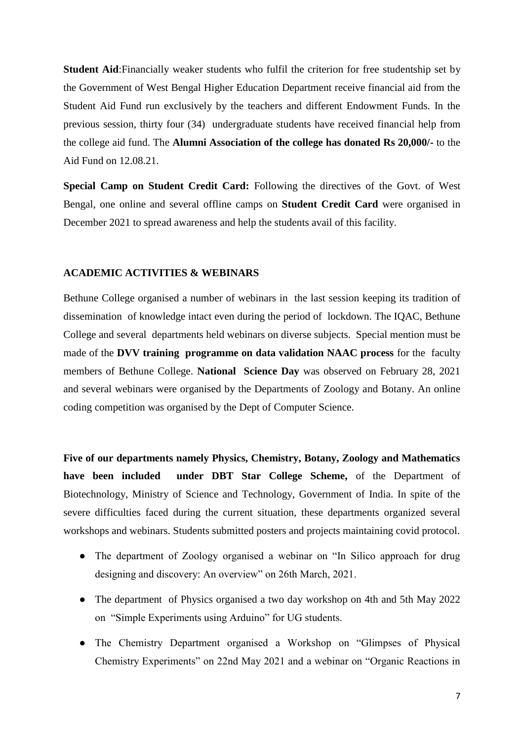**Student Aid**:Financially weaker students who fulfil the criterion for free studentship set by the Government of West Bengal Higher Education Department receive financial aid from the Student Aid Fund run exclusively by the teachers and different Endowment Funds. In the previous session, thirty four (34) undergraduate students have received financial help from the college aid fund. The **Alumni Association of the college has donated Rs 20,000/-** to the Aid Fund on 12.08.21.

**Special Camp on Student Credit Card:** Following the directives of the Govt. of West Bengal, one online and several offline camps on **Student Credit Card** were organised in December 2021 to spread awareness and help the students avail of this facility.

## **ACADEMIC ACTIVITIES & WEBINARS**

Bethune College organised a number of webinars in the last session keeping its tradition of dissemination of knowledge intact even during the period of lockdown. The IQAC, Bethune College and several departments held webinars on diverse subjects. Special mention must be made of the **DVV training programme on data validation NAAC process** for the faculty members of Bethune College. **National Science Day** was observed on February 28, 2021 and several webinars were organised by the Departments of Zoology and Botany. An online coding competition was organised by the Dept of Computer Science.

**Five of our departments namely Physics, Chemistry, Botany, Zoology and Mathematics have been included under DBT Star College Scheme,** of the Department of Biotechnology, Ministry of Science and Technology, Government of India. In spite of the severe difficulties faced during the current situation, these departments organized several workshops and webinars. Students submitted posters and projects maintaining covid protocol.

- The department of Zoology organised a webinar on "In Silico approach for drug designing and discovery: An overview" on 26th March, 2021.
- The department of Physics organised a two day workshop on 4th and 5th May 2022 on "Simple Experiments using Arduino" for UG students.
- The Chemistry Department organised a Workshop on "Glimpses of Physical Chemistry Experiments" on 22nd May 2021 and a webinar on "Organic Reactions in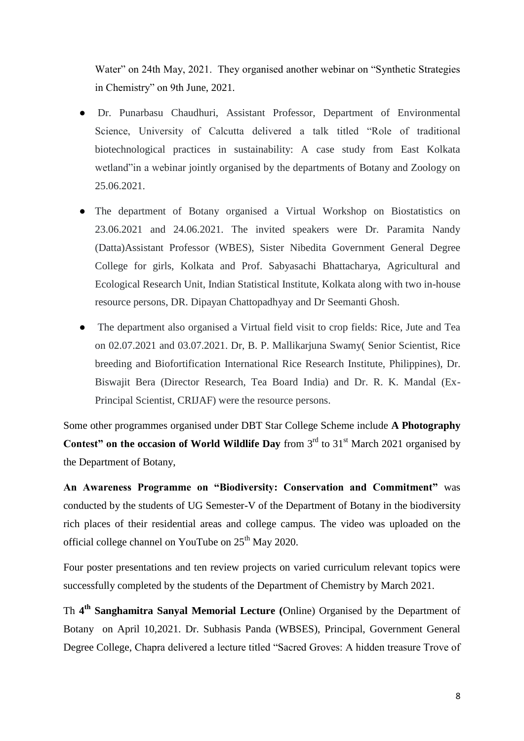Water" on 24th May, 2021. They organised another webinar on "Synthetic Strategies" in Chemistry" on 9th June, 2021.

- Dr. Punarbasu Chaudhuri, Assistant Professor, Department of Environmental Science, University of Calcutta delivered a talk titled "Role of traditional biotechnological practices in sustainability: A case study from East Kolkata wetland" in a webinar jointly organised by the departments of Botany and Zoology on 25.06.2021.
- The department of Botany organised a Virtual Workshop on Biostatistics on 23.06.2021 and 24.06.2021. The invited speakers were Dr. Paramita Nandy (Datta)Assistant Professor (WBES), Sister Nibedita Government General Degree College for girls, Kolkata and Prof. Sabyasachi Bhattacharya, Agricultural and Ecological Research Unit, Indian Statistical Institute, Kolkata along with two in-house resource persons, DR. Dipayan Chattopadhyay and Dr Seemanti Ghosh.
- The department also organised a Virtual field visit to crop fields: Rice, Jute and Tea on 02.07.2021 and 03.07.2021. Dr, B. P. Mallikarjuna Swamy( Senior Scientist, Rice breeding and Biofortification International Rice Research Institute, Philippines), Dr. Biswajit Bera (Director Research, Tea Board India) and Dr. R. K. Mandal (Ex-Principal Scientist, CRIJAF) were the resource persons.

Some other programmes organised under DBT Star College Scheme include **A Photography Contest" on the occasion of World Wildlife Day** from 3<sup>rd</sup> to 31<sup>st</sup> March 2021 organised by the Department of Botany,

**An Awareness Programme on "Biodiversity: Conservation and Commitment"** was conducted by the students of UG Semester-V of the Department of Botany in the biodiversity rich places of their residential areas and college campus. The video was uploaded on the official college channel on YouTube on 25<sup>th</sup> May 2020.

Four poster presentations and ten review projects on varied curriculum relevant topics were successfully completed by the students of the Department of Chemistry by March 2021.

Th **4 th Sanghamitra Sanyal Memorial Lecture (**Online) Organised by the Department of Botany on April 10,2021. Dr. Subhasis Panda (WBSES), Principal, Government General Degree College, Chapra delivered a lecture titled "Sacred Groves: A hidden treasure Trove of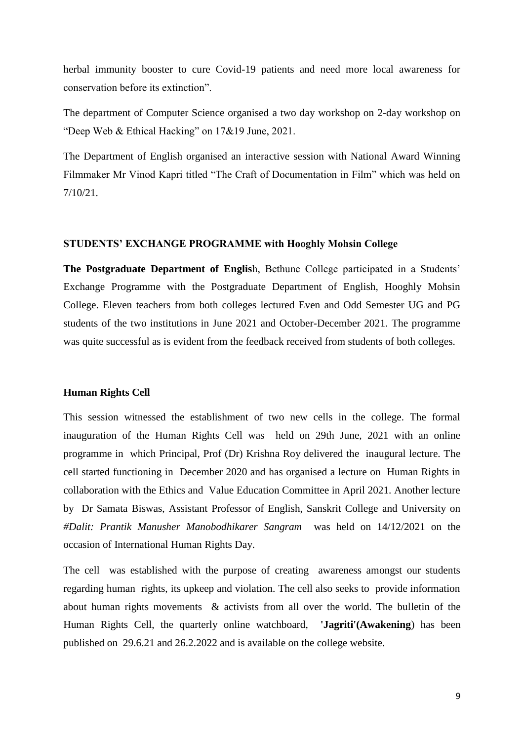herbal immunity booster to cure Covid-19 patients and need more local awareness for conservation before its extinction".

The department of Computer Science organised a two day workshop on 2-day workshop on "Deep Web & Ethical Hacking" on 17&19 June, 2021.

The Department of English organised an interactive session with National Award Winning Filmmaker Mr Vinod Kapri titled "The Craft of Documentation in Film" which was held on 7/10/21.

#### **STUDENTS' EXCHANGE PROGRAMME with Hooghly Mohsin College**

**The Postgraduate Department of Englis**h, Bethune College participated in a Students' Exchange Programme with the Postgraduate Department of English, Hooghly Mohsin College. Eleven teachers from both colleges lectured Even and Odd Semester UG and PG students of the two institutions in June 2021 and October-December 2021. The programme was quite successful as is evident from the feedback received from students of both colleges.

## **Human Rights Cell**

This session witnessed the establishment of two new cells in the college. The formal inauguration of the Human Rights Cell was held on 29th June, 2021 with an online programme in which Principal, Prof (Dr) Krishna Roy delivered the inaugural lecture. The cell started functioning in December 2020 and has organised a lecture on Human Rights in collaboration with the Ethics and Value Education Committee in April 2021. Another lecture by Dr Samata Biswas, Assistant Professor of English, Sanskrit College and University on *#Dalit: Prantik Manusher Manobodhikarer Sangram* was held on 14/12/2021 on the occasion of International Human Rights Day.

The cell was established with the purpose of creating awareness amongst our students regarding human rights, its upkeep and violation. The cell also seeks to provide information about human rights movements & activists from all over the world. The bulletin of the Human Rights Cell, the quarterly online watchboard, **'Jagriti'(Awakening**) has been published on 29.6.21 and 26.2.2022 and is available on the college website.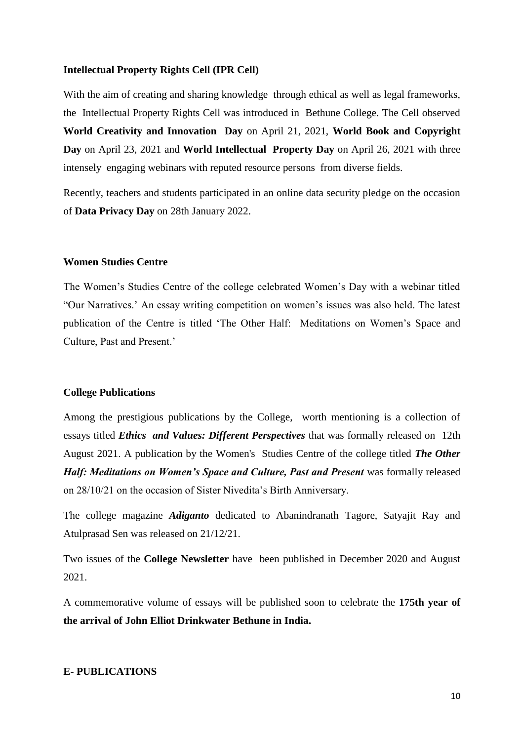## **Intellectual Property Rights Cell (IPR Cell)**

With the aim of creating and sharing knowledge through ethical as well as legal frameworks, the Intellectual Property Rights Cell was introduced in Bethune College. The Cell observed **World Creativity and Innovation Day** on April 21, 2021, **World Book and Copyright Day** on April 23, 2021 and **World Intellectual Property Day** on April 26, 2021 with three intensely engaging webinars with reputed resource persons from diverse fields.

Recently, teachers and students participated in an online data security pledge on the occasion of **Data Privacy Day** on 28th January 2022.

## **Women Studies Centre**

The Women's Studies Centre of the college celebrated Women's Day with a webinar titled "Our Narratives.' An essay writing competition on women's issues was also held. The latest publication of the Centre is titled 'The Other Half: Meditations on Women's Space and Culture, Past and Present.'

#### **College Publications**

Among the prestigious publications by the College, worth mentioning is a collection of essays titled *Ethics and Values: Different Perspectives* that was formally released on 12th August 2021. A publication by the Women's Studies Centre of the college titled *The Other Half: Meditations on Women's Space and Culture, Past and Present* was formally released on 28/10/21 on the occasion of Sister Nivedita's Birth Anniversary.

The college magazine *Adiganto* dedicated to Abanindranath Tagore, Satyajit Ray and Atulprasad Sen was released on 21/12/21.

Two issues of the **College Newsletter** have been published in December 2020 and August 2021.

A commemorative volume of essays will be published soon to celebrate the **175th year of the arrival of John Elliot Drinkwater Bethune in India.**

# **E- PUBLICATIONS**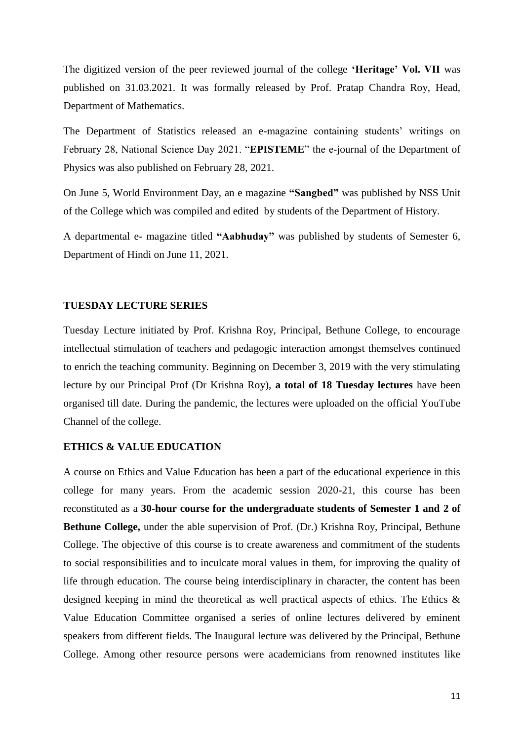The digitized version of the peer reviewed journal of the college **'Heritage' Vol. VII** was published on 31.03.2021. It was formally released by Prof. Pratap Chandra Roy, Head, Department of Mathematics.

The Department of Statistics released an e-magazine containing students' writings on February 28, National Science Day 2021. "**EPISTEME**" the e-journal of the Department of Physics was also published on February 28, 2021.

On June 5, World Environment Day, an e magazine **"Sangbed"** was published by NSS Unit of the College which was compiled and edited by students of the Department of History.

A departmental e- magazine titled **"Aabhuday"** was published by students of Semester 6, Department of Hindi on June 11, 2021.

# **TUESDAY LECTURE SERIES**

Tuesday Lecture initiated by Prof. Krishna Roy, Principal, Bethune College, to encourage intellectual stimulation of teachers and pedagogic interaction amongst themselves continued to enrich the teaching community. Beginning on December 3, 2019 with the very stimulating lecture by our Principal Prof (Dr Krishna Roy), **a total of 18 Tuesday lectures** have been organised till date. During the pandemic, the lectures were uploaded on the official YouTube Channel of the college.

## **ETHICS & VALUE EDUCATION**

A course on Ethics and Value Education has been a part of the educational experience in this college for many years. From the academic session 2020-21, this course has been reconstituted as a **30-hour course for the undergraduate students of Semester 1 and 2 of Bethune College,** under the able supervision of Prof. (Dr.) Krishna Roy, Principal, Bethune College. The objective of this course is to create awareness and commitment of the students to social responsibilities and to inculcate moral values in them, for improving the quality of life through education. The course being interdisciplinary in character, the content has been designed keeping in mind the theoretical as well practical aspects of ethics. The Ethics & Value Education Committee organised a series of online lectures delivered by eminent speakers from different fields. The Inaugural lecture was delivered by the Principal, Bethune College. Among other resource persons were academicians from renowned institutes like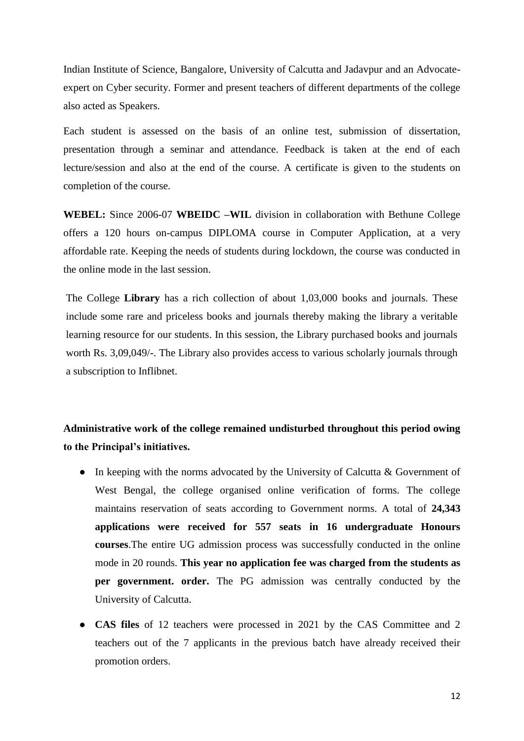Indian Institute of Science, Bangalore, University of Calcutta and Jadavpur and an Advocateexpert on Cyber security. Former and present teachers of different departments of the college also acted as Speakers.

Each student is assessed on the basis of an online test, submission of dissertation, presentation through a seminar and attendance. Feedback is taken at the end of each lecture/session and also at the end of the course. A certificate is given to the students on completion of the course.

**WEBEL:** Since 2006-07 **WBEIDC –WIL** division in collaboration with Bethune College offers a 120 hours on-campus DIPLOMA course in Computer Application, at a very affordable rate. Keeping the needs of students during lockdown, the course was conducted in the online mode in the last session.

The College **Library** has a rich collection of about 1,03,000 books and journals. These include some rare and priceless books and journals thereby making the library a veritable learning resource for our students. In this session, the Library purchased books and journals worth Rs. 3,09,049/-. The Library also provides access to various scholarly journals through a subscription to Inflibnet.

# **Administrative work of the college remained undisturbed throughout this period owing to the Principal's initiatives.**

- In keeping with the norms advocated by the University of Calcutta & Government of West Bengal, the college organised online verification of forms. The college maintains reservation of seats according to Government norms. A total of **24,343 applications were received for 557 seats in 16 undergraduate Honours courses**.The entire UG admission process was successfully conducted in the online mode in 20 rounds. **This year no application fee was charged from the students as per government. order.** The PG admission was centrally conducted by the University of Calcutta.
- **CAS files** of 12 teachers were processed in 2021 by the CAS Committee and 2 teachers out of the 7 applicants in the previous batch have already received their promotion orders.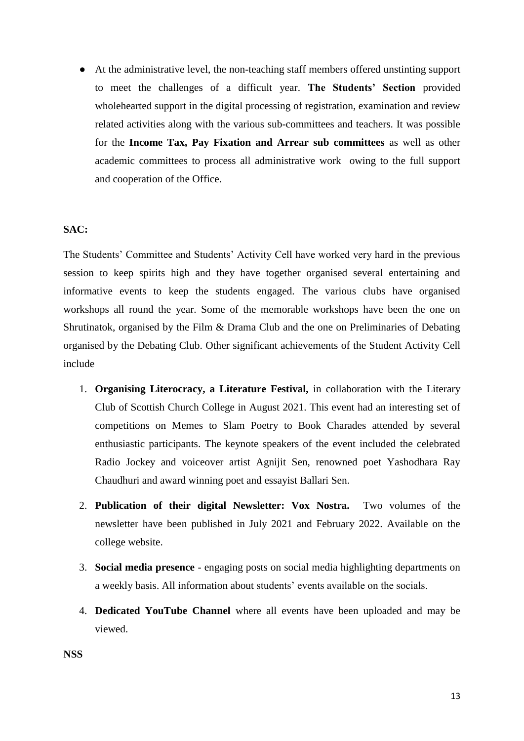● At the administrative level, the non-teaching staff members offered unstinting support to meet the challenges of a difficult year. **The Students' Section** provided wholehearted support in the digital processing of registration, examination and review related activities along with the various sub-committees and teachers. It was possible for the **Income Tax, Pay Fixation and Arrear sub committees** as well as other academic committees to process all administrative work owing to the full support and cooperation of the Office.

# **SAC:**

The Students' Committee and Students' Activity Cell have worked very hard in the previous session to keep spirits high and they have together organised several entertaining and informative events to keep the students engaged. The various clubs have organised workshops all round the year. Some of the memorable workshops have been the one on Shrutinatok, organised by the Film & Drama Club and the one on Preliminaries of Debating organised by the Debating Club. Other significant achievements of the Student Activity Cell include

- 1. **Organising Literocracy, a Literature Festival,** in collaboration with the Literary Club of Scottish Church College in August 2021. This event had an interesting set of competitions on Memes to Slam Poetry to Book Charades attended by several enthusiastic participants. The keynote speakers of the event included the celebrated Radio Jockey and voiceover artist Agnijit Sen, renowned poet Yashodhara Ray Chaudhuri and award winning poet and essayist Ballari Sen.
- 2. **Publication of their digital Newsletter: Vox Nostra.** Two volumes of the newsletter have been published in July 2021 and February 2022. Available on the college website.
- 3. **Social media presence** engaging posts on social media highlighting departments on a weekly basis. All information about students' events available on the socials.
- 4. **Dedicated YouTube Channel** where all events have been uploaded and may be viewed.

**NSS**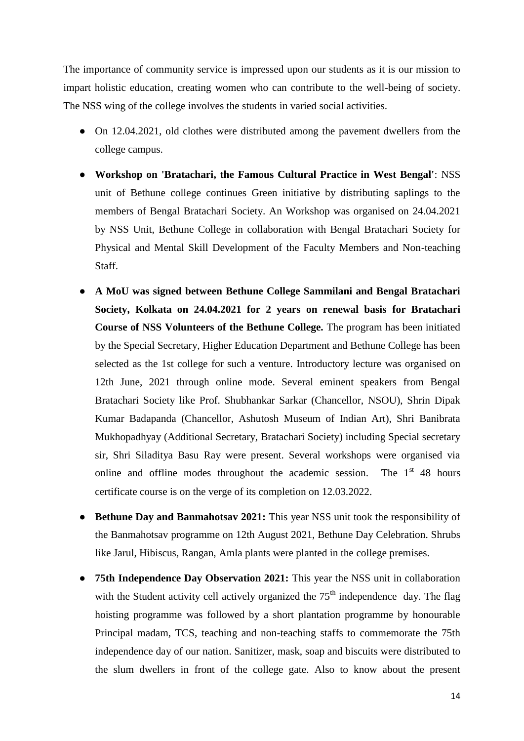The importance of community service is impressed upon our students as it is our mission to impart holistic education, creating women who can contribute to the well-being of society. The NSS wing of the college involves the students in varied social activities.

- On 12.04.2021, old clothes were distributed among the pavement dwellers from the college campus.
- **Workshop on 'Bratachari, the Famous Cultural Practice in West Bengal'**: NSS unit of Bethune college continues Green initiative by distributing saplings to the members of Bengal Bratachari Society. An Workshop was organised on 24.04.2021 by NSS Unit, Bethune College in collaboration with Bengal Bratachari Society for Physical and Mental Skill Development of the Faculty Members and Non-teaching Staff.
- **A MoU was signed between Bethune College Sammilani and Bengal Bratachari Society, Kolkata on 24.04.2021 for 2 years on renewal basis for Bratachari Course of NSS Volunteers of the Bethune College.** The program has been initiated by the Special Secretary, Higher Education Department and Bethune College has been selected as the 1st college for such a venture. Introductory lecture was organised on 12th June, 2021 through online mode. Several eminent speakers from Bengal Bratachari Society like Prof. Shubhankar Sarkar (Chancellor, NSOU), Shrin Dipak Kumar Badapanda (Chancellor, Ashutosh Museum of Indian Art), Shri Banibrata Mukhopadhyay (Additional Secretary, Bratachari Society) including Special secretary sir, Shri Siladitya Basu Ray were present. Several workshops were organised via online and offline modes throughout the academic session. The  $1<sup>st</sup> 48$  hours certificate course is on the verge of its completion on 12.03.2022.
- **Bethune Day and Banmahotsav 2021:** This year NSS unit took the responsibility of the Banmahotsav programme on 12th August 2021, Bethune Day Celebration. Shrubs like Jarul, Hibiscus, Rangan, Amla plants were planted in the college premises.
- **75th Independence Day Observation 2021:** This year the NSS unit in collaboration with the Student activity cell actively organized the  $75<sup>th</sup>$  independence day. The flag hoisting programme was followed by a short plantation programme by honourable Principal madam, TCS, teaching and non-teaching staffs to commemorate the 75th independence day of our nation. Sanitizer, mask, soap and biscuits were distributed to the slum dwellers in front of the college gate. Also to know about the present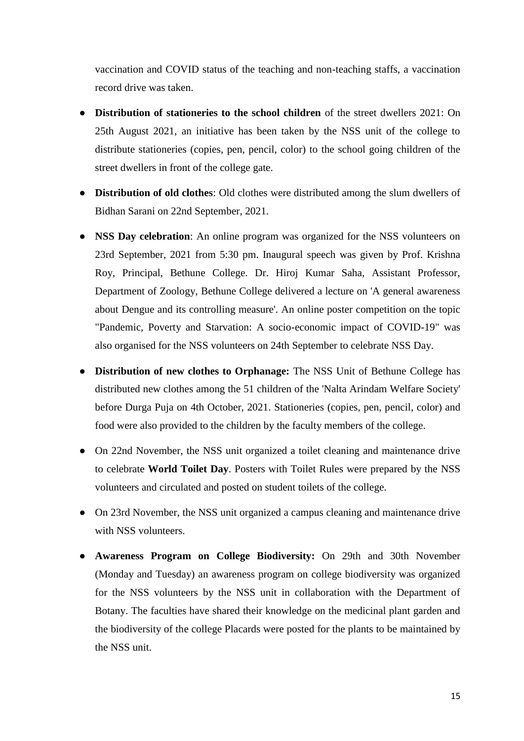vaccination and COVID status of the teaching and non-teaching staffs, a vaccination record drive was taken.

- **Distribution of stationeries to the school children** of the street dwellers 2021: On 25th August 2021, an initiative has been taken by the NSS unit of the college to distribute stationeries (copies, pen, pencil, color) to the school going children of the street dwellers in front of the college gate.
- **Distribution of old clothes**: Old clothes were distributed among the slum dwellers of Bidhan Sarani on 22nd September, 2021.
- **NSS Day celebration**: An online program was organized for the NSS volunteers on 23rd September, 2021 from 5:30 pm. Inaugural speech was given by Prof. Krishna Roy, Principal, Bethune College. Dr. Hiroj Kumar Saha, Assistant Professor, Department of Zoology, Bethune College delivered a lecture on 'A general awareness about Dengue and its controlling measure'. An online poster competition on the topic "Pandemic, Poverty and Starvation: A socio-economic impact of COVID-19" was also organised for the NSS volunteers on 24th September to celebrate NSS Day.
- **Distribution of new clothes to Orphanage:** The NSS Unit of Bethune College has distributed new clothes among the 51 children of the 'Nalta Arindam Welfare Society' before Durga Puja on 4th October, 2021. Stationeries (copies, pen, pencil, color) and food were also provided to the children by the faculty members of the college.
- On 22nd November, the NSS unit organized a toilet cleaning and maintenance drive to celebrate **World Toilet Day**. Posters with Toilet Rules were prepared by the NSS volunteers and circulated and posted on student toilets of the college.
- On 23rd November, the NSS unit organized a campus cleaning and maintenance drive with NSS volunteers.
- **Awareness Program on College Biodiversity:** On 29th and 30th November (Monday and Tuesday) an awareness program on college biodiversity was organized for the NSS volunteers by the NSS unit in collaboration with the Department of Botany. The faculties have shared their knowledge on the medicinal plant garden and the biodiversity of the college Placards were posted for the plants to be maintained by the NSS unit.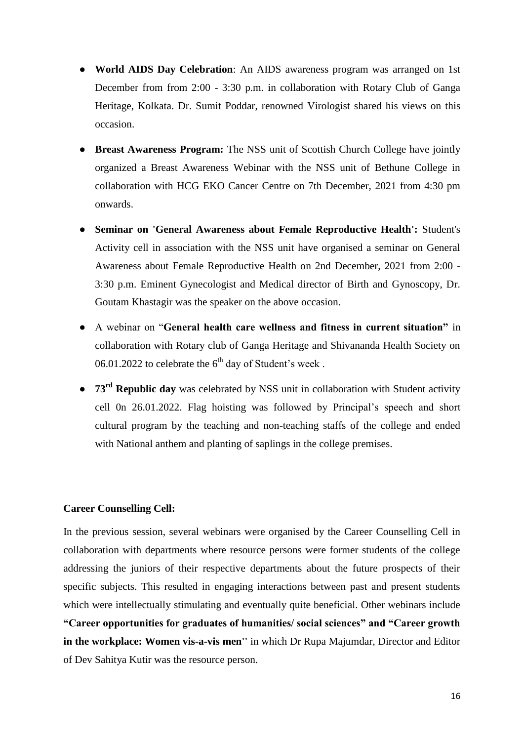- **World AIDS Day Celebration**: An AIDS awareness program was arranged on 1st December from from 2:00 - 3:30 p.m. in collaboration with Rotary Club of Ganga Heritage, Kolkata. Dr. Sumit Poddar, renowned Virologist shared his views on this occasion.
- **Breast Awareness Program:** The NSS unit of Scottish Church College have jointly organized a Breast Awareness Webinar with the NSS unit of Bethune College in collaboration with HCG EKO Cancer Centre on 7th December, 2021 from 4:30 pm onwards.
- **Seminar on 'General Awareness about Female Reproductive Health':** Student's Activity cell in association with the NSS unit have organised a seminar on General Awareness about Female Reproductive Health on 2nd December, 2021 from 2:00 - 3:30 p.m. Eminent Gynecologist and Medical director of Birth and Gynoscopy, Dr. Goutam Khastagir was the speaker on the above occasion.
- A webinar on "**General health care wellness and fitness in current situation"** in collaboration with Rotary club of Ganga Heritage and Shivananda Health Society on 06.01.2022 to celebrate the  $6<sup>th</sup>$  day of Student's week.
- **73rd Republic day** was celebrated by NSS unit in collaboration with Student activity cell 0n 26.01.2022. Flag hoisting was followed by Principal's speech and short cultural program by the teaching and non-teaching staffs of the college and ended with National anthem and planting of saplings in the college premises.

# **Career Counselling Cell:**

In the previous session, several webinars were organised by the Career Counselling Cell in collaboration with departments where resource persons were former students of the college addressing the juniors of their respective departments about the future prospects of their specific subjects. This resulted in engaging interactions between past and present students which were intellectually stimulating and eventually quite beneficial. Other webinars include **"Career opportunities for graduates of humanities/ social sciences" and "Career growth in the workplace: Women vis-a-vis men''** in which Dr Rupa Majumdar, Director and Editor of Dev Sahitya Kutir was the resource person.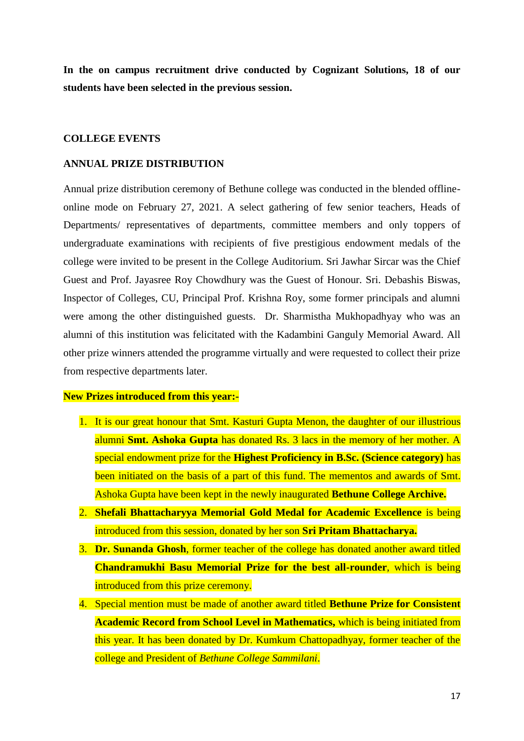**In the on campus recruitment drive conducted by Cognizant Solutions, 18 of our students have been selected in the previous session.**

#### **COLLEGE EVENTS**

#### **ANNUAL PRIZE DISTRIBUTION**

Annual prize distribution ceremony of Bethune college was conducted in the blended offlineonline mode on February 27, 2021. A select gathering of few senior teachers, Heads of Departments/ representatives of departments, committee members and only toppers of undergraduate examinations with recipients of five prestigious endowment medals of the college were invited to be present in the College Auditorium. Sri Jawhar Sircar was the Chief Guest and Prof. Jayasree Roy Chowdhury was the Guest of Honour. Sri. Debashis Biswas, Inspector of Colleges, CU, Principal Prof. Krishna Roy, some former principals and alumni were among the other distinguished guests. Dr. Sharmistha Mukhopadhyay who was an alumni of this institution was felicitated with the Kadambini Ganguly Memorial Award. All other prize winners attended the programme virtually and were requested to collect their prize from respective departments later.

# **New Prizes introduced from this year:-**

- 1. It is our great honour that Smt. Kasturi Gupta Menon, the daughter of our illustrious alumni **Smt. Ashoka Gupta** has donated Rs. 3 lacs in the memory of her mother. A special endowment prize for the **Highest Proficiency in B.Sc. (Science category)** has been initiated on the basis of a part of this fund. The mementos and awards of Smt. Ashoka Gupta have been kept in the newly inaugurated **Bethune College Archive.**
- 2. **Shefali Bhattacharyya Memorial Gold Medal for Academic Excellence** is being introduced from this session, donated by her son **Sri Pritam Bhattacharya.**
- 3. **Dr. Sunanda Ghosh**, former teacher of the college has donated another award titled **Chandramukhi Basu Memorial Prize for the best all-rounder**, which is being introduced from this prize ceremony.
- 4. Special mention must be made of another award titled **Bethune Prize for Consistent Academic Record from School Level in Mathematics,** which is being initiated from this year. It has been donated by Dr. Kumkum Chattopadhyay, former teacher of the college and President of *Bethune College Sammilani*.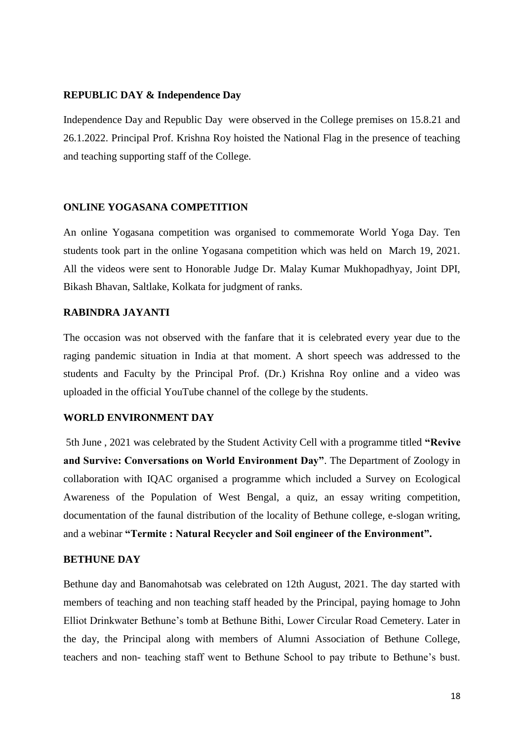# **REPUBLIC DAY & Independence Day**

Independence Day and Republic Day were observed in the College premises on 15.8.21 and 26.1.2022. Principal Prof. Krishna Roy hoisted the National Flag in the presence of teaching and teaching supporting staff of the College.

# **ONLINE YOGASANA COMPETITION**

An online Yogasana competition was organised to commemorate World Yoga Day. Ten students took part in the online Yogasana competition which was held on March 19, 2021. All the videos were sent to Honorable Judge Dr. Malay Kumar Mukhopadhyay, Joint DPI, Bikash Bhavan, Saltlake, Kolkata for judgment of ranks.

# **RABINDRA JAYANTI**

The occasion was not observed with the fanfare that it is celebrated every year due to the raging pandemic situation in India at that moment. A short speech was addressed to the students and Faculty by the Principal Prof. (Dr.) Krishna Roy online and a video was uploaded in the official YouTube channel of the college by the students.

# **WORLD ENVIRONMENT DAY**

5th June , 2021 was celebrated by the Student Activity Cell with a programme titled **"Revive and Survive: Conversations on World Environment Day"**. The Department of Zoology in collaboration with IQAC organised a programme which included a Survey on Ecological Awareness of the Population of West Bengal, a quiz, an essay writing competition, documentation of the faunal distribution of the locality of Bethune college, e-slogan writing, and a webinar **"Termite : Natural Recycler and Soil engineer of the Environment".**

## **BETHUNE DAY**

Bethune day and Banomahotsab was celebrated on 12th August, 2021. The day started with members of teaching and non teaching staff headed by the Principal, paying homage to John Elliot Drinkwater Bethune's tomb at Bethune Bithi, Lower Circular Road Cemetery. Later in the day, the Principal along with members of Alumni Association of Bethune College, teachers and non- teaching staff went to Bethune School to pay tribute to Bethune's bust.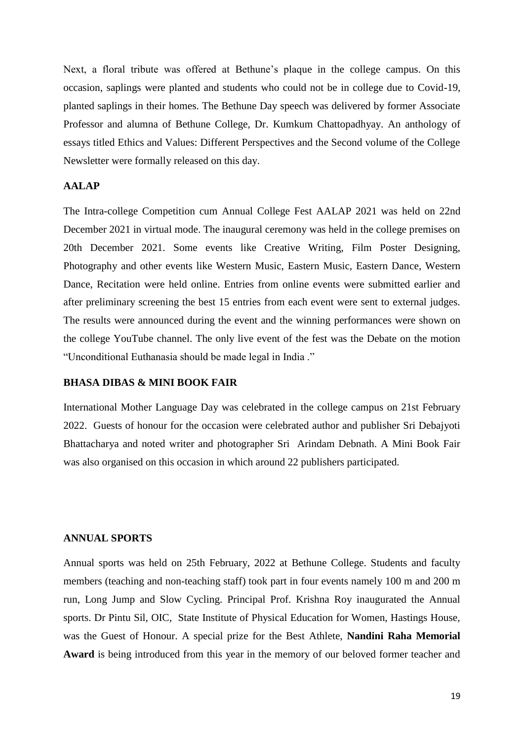Next, a floral tribute was offered at Bethune's plaque in the college campus. On this occasion, saplings were planted and students who could not be in college due to Covid-19, planted saplings in their homes. The Bethune Day speech was delivered by former Associate Professor and alumna of Bethune College, Dr. Kumkum Chattopadhyay. An anthology of essays titled Ethics and Values: Different Perspectives and the Second volume of the College Newsletter were formally released on this day.

### **AALAP**

The Intra-college Competition cum Annual College Fest AALAP 2021 was held on 22nd December 2021 in virtual mode. The inaugural ceremony was held in the college premises on 20th December 2021. Some events like Creative Writing, Film Poster Designing, Photography and other events like Western Music, Eastern Music, Eastern Dance, Western Dance, Recitation were held online. Entries from online events were submitted earlier and after preliminary screening the best 15 entries from each event were sent to external judges. The results were announced during the event and the winning performances were shown on the college YouTube channel. The only live event of the fest was the Debate on the motion "Unconditional Euthanasia should be made legal in India ."

# **BHASA DIBAS & MINI BOOK FAIR**

International Mother Language Day was celebrated in the college campus on 21st February 2022. Guests of honour for the occasion were celebrated author and publisher Sri Debajyoti Bhattacharya and noted writer and photographer Sri Arindam Debnath. A Mini Book Fair was also organised on this occasion in which around 22 publishers participated.

## **ANNUAL SPORTS**

Annual sports was held on 25th February, 2022 at Bethune College. Students and faculty members (teaching and non-teaching staff) took part in four events namely 100 m and 200 m run, Long Jump and Slow Cycling. Principal Prof. Krishna Roy inaugurated the Annual sports. Dr Pintu Sil, OIC, State Institute of Physical Education for Women, Hastings House, was the Guest of Honour. A special prize for the Best Athlete, **Nandini Raha Memorial Award** is being introduced from this year in the memory of our beloved former teacher and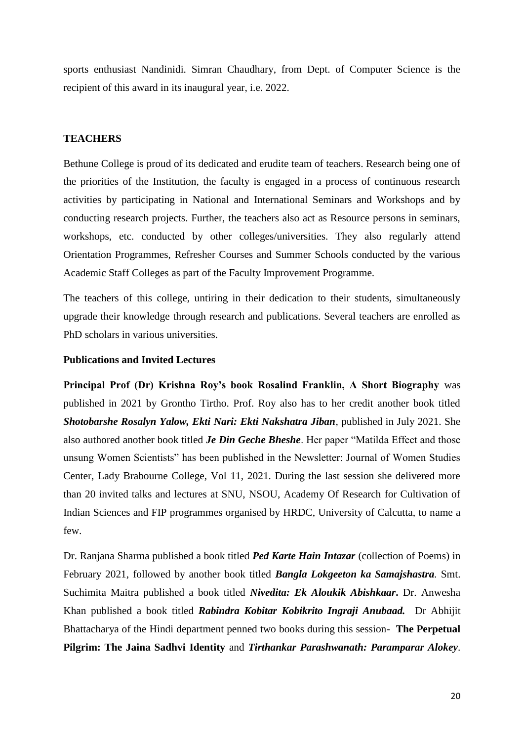sports enthusiast Nandinidi. Simran Chaudhary, from Dept. of Computer Science is the recipient of this award in its inaugural year, i.e. 2022.

#### **TEACHERS**

Bethune College is proud of its dedicated and erudite team of teachers. Research being one of the priorities of the Institution, the faculty is engaged in a process of continuous research activities by participating in National and International Seminars and Workshops and by conducting research projects. Further, the teachers also act as Resource persons in seminars, workshops, etc. conducted by other colleges/universities. They also regularly attend Orientation Programmes, Refresher Courses and Summer Schools conducted by the various Academic Staff Colleges as part of the Faculty Improvement Programme.

The teachers of this college, untiring in their dedication to their students, simultaneously upgrade their knowledge through research and publications. Several teachers are enrolled as PhD scholars in various universities.

## **Publications and Invited Lectures**

**Principal Prof (Dr) Krishna Roy's book Rosalind Franklin, A Short Biography** was published in 2021 by Grontho Tirtho. Prof. Roy also has to her credit another book titled *Shotobarshe Rosalyn Yalow, Ekti Nari: Ekti Nakshatra Jiban*, published in July 2021. She also authored another book titled *Je Din Geche Bheshe*. Her paper "Matilda Effect and those unsung Women Scientists" has been published in the Newsletter: Journal of Women Studies Center, Lady Brabourne College, Vol 11, 2021. During the last session she delivered more than 20 invited talks and lectures at SNU, NSOU, Academy Of Research for Cultivation of Indian Sciences and FIP programmes organised by HRDC, University of Calcutta, to name a few.

Dr. Ranjana Sharma published a book titled *Ped Karte Hain Intazar* (collection of Poems) in February 2021, followed by another book titled *Bangla Lokgeeton ka Samajshastra.* Smt. Suchimita Maitra published a book titled *Nivedita: Ek Aloukik Abishkaar***.** Dr. Anwesha Khan published a book titled *Rabindra Kobitar Kobikrito Ingraji Anubaad.* Dr Abhijit Bhattacharya of the Hindi department penned two books during this session- **The Perpetual Pilgrim: The Jaina Sadhvi Identity** and *Tirthankar Parashwanath: Paramparar Alokey*.